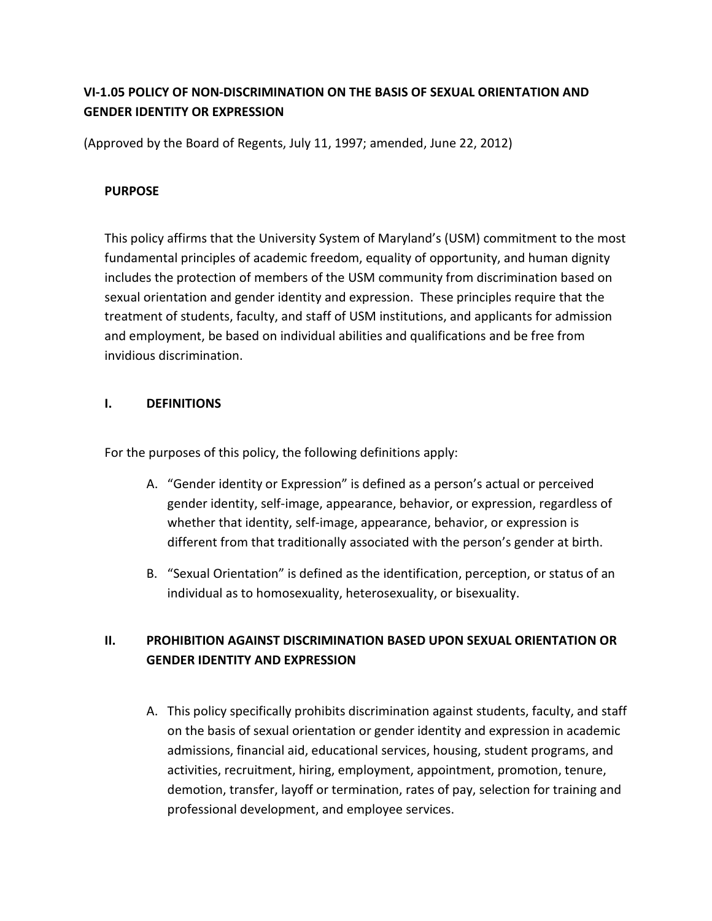# **VI-1.05 POLICY OF NON-DISCRIMINATION ON THE BASIS OF SEXUAL ORIENTATION AND GENDER IDENTITY OR EXPRESSION**

(Approved by the Board of Regents, July 11, 1997; amended, June 22, 2012)

### **PURPOSE**

This policy affirms that the University System of Maryland's (USM) commitment to the most fundamental principles of academic freedom, equality of opportunity, and human dignity includes the protection of members of the USM community from discrimination based on sexual orientation and gender identity and expression. These principles require that the treatment of students, faculty, and staff of USM institutions, and applicants for admission and employment, be based on individual abilities and qualifications and be free from invidious discrimination.

## **I. DEFINITIONS**

For the purposes of this policy, the following definitions apply:

- A. "Gender identity or Expression" is defined as a person's actual or perceived gender identity, self-image, appearance, behavior, or expression, regardless of whether that identity, self-image, appearance, behavior, or expression is different from that traditionally associated with the person's gender at birth.
- B. "Sexual Orientation" is defined as the identification, perception, or status of an individual as to homosexuality, heterosexuality, or bisexuality.

## **II. PROHIBITION AGAINST DISCRIMINATION BASED UPON SEXUAL ORIENTATION OR GENDER IDENTITY AND EXPRESSION**

A. This policy specifically prohibits discrimination against students, faculty, and staff on the basis of sexual orientation or gender identity and expression in academic admissions, financial aid, educational services, housing, student programs, and activities, recruitment, hiring, employment, appointment, promotion, tenure, demotion, transfer, layoff or termination, rates of pay, selection for training and professional development, and employee services.